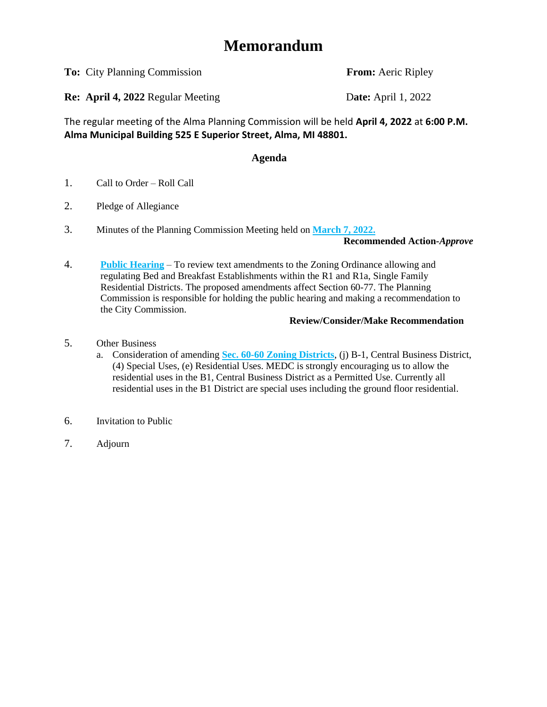# **Memorandum**

**To:** City Planning Commission **From:** Aeric Ripley

**Re: April 4, 2022** Regular Meeting Date: April 1, 2022

The regular meeting of the Alma Planning Commission will be held **April 4, 2022** at **6:00 P.M. Alma Municipal Building 525 E Superior Street, Alma, MI 48801.** 

## **Agenda**

- 1. Call to Order Roll Call
- 2. Pledge of Allegiance
- 3. Minutes of the Planning Commission Meeting held on **[March 7, 2022.](#page-1-0)**

**Recommended Action-***Approve*

4. **[Public Hearing](#page-3-0)** – To review text amendments to the Zoning Ordinance allowing and regulating Bed and Breakfast Establishments within the R1 and R1a, Single Family Residential Districts. The proposed amendments affect Section 60-77. The Planning Commission is responsible for holding the public hearing and making a recommendation to the City Commission.

## **Review/Consider/Make Recommendation**

- 5. Other Business
	- a. Consideration of amending **[Sec. 60-60 Zoning Districts](#page-11-0)**, (j) B-1, Central Business District, (4) Special Uses, (e) Residential Uses. MEDC is strongly encouraging us to allow the residential uses in the B1, Central Business District as a Permitted Use. Currently all residential uses in the B1 District are special uses including the ground floor residential.
- 6. Invitation to Public
- 7. Adjourn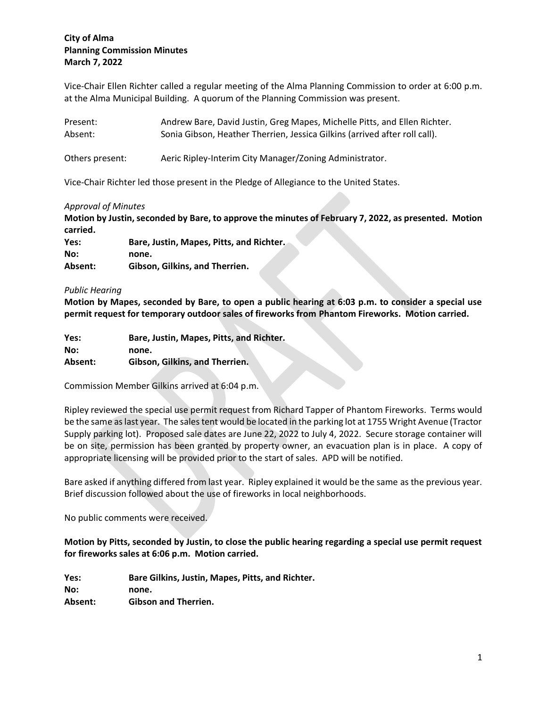### <span id="page-1-0"></span>**City of Alma Planning Commission Minutes March 7, 2022**

Vice-Chair Ellen Richter called a regular meeting of the Alma Planning Commission to order at 6:00 p.m. at the Alma Municipal Building. A quorum of the Planning Commission was present.

| Present:        | Andrew Bare, David Justin, Greg Mapes, Michelle Pitts, and Ellen Richter.  |
|-----------------|----------------------------------------------------------------------------|
| Absent:         | Sonia Gibson, Heather Therrien, Jessica Gilkins (arrived after roll call). |
| Others present: | Aeric Ripley-Interim City Manager/Zoning Administrator.                    |

Vice-Chair Richter led those present in the Pledge of Allegiance to the United States.

#### *Approval of Minutes*

**Motion by Justin, seconded by Bare, to approve the minutes of February 7, 2022, as presented. Motion carried.**

| Yes:    | Bare, Justin, Mapes, Pitts, and Richter. |
|---------|------------------------------------------|
| No:     | none.                                    |
| Absent: | Gibson. Gilkins. and Therrien.           |

#### *Public Hearing*

**Motion by Mapes, seconded by Bare, to open a public hearing at 6:03 p.m. to consider a special use permit request for temporary outdoor sales of fireworks from Phantom Fireworks. Motion carried.**

| Yes:    | Bare, Justin, Mapes, Pitts, and Richter. |
|---------|------------------------------------------|
| No:     | none.                                    |
| Absent: | Gibson, Gilkins, and Therrien.           |

Commission Member Gilkins arrived at 6:04 p.m.

Ripley reviewed the special use permit request from Richard Tapper of Phantom Fireworks. Terms would be the same as last year. The sales tent would be located in the parking lot at 1755 Wright Avenue (Tractor Supply parking lot). Proposed sale dates are June 22, 2022 to July 4, 2022. Secure storage container will be on site, permission has been granted by property owner, an evacuation plan is in place. A copy of appropriate licensing will be provided prior to the start of sales. APD will be notified.

Bare asked if anything differed from last year. Ripley explained it would be the same as the previous year. Brief discussion followed about the use of fireworks in local neighborhoods.

No public comments were received.

**Motion by Pitts, seconded by Justin, to close the public hearing regarding a special use permit request for fireworks sales at 6:06 p.m. Motion carried.**

**Yes: Bare Gilkins, Justin, Mapes, Pitts, and Richter. No: none. Absent: Gibson and Therrien.**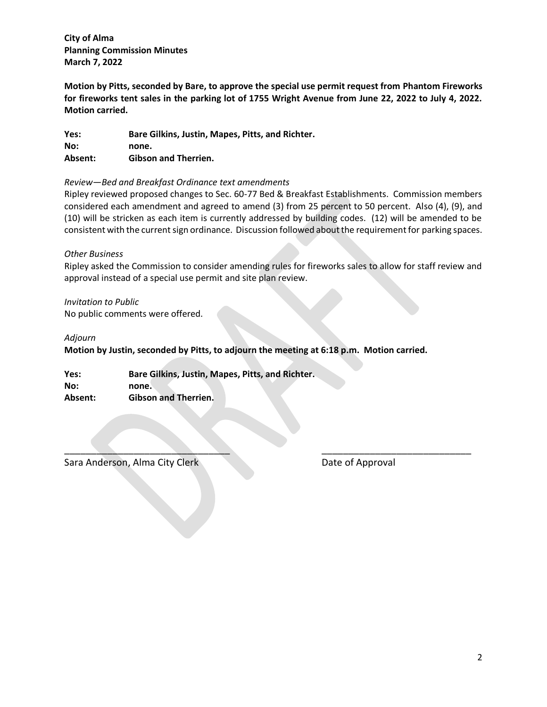**City of Alma Planning Commission Minutes March 7, 2022**

**Motion by Pitts, seconded by Bare, to approve the special use permit request from Phantom Fireworks for fireworks tent sales in the parking lot of 1755 Wright Avenue from June 22, 2022 to July 4, 2022. Motion carried.**

**Yes: Bare Gilkins, Justin, Mapes, Pitts, and Richter. No: none. Absent: Gibson and Therrien.**

#### *Review—Bed and Breakfast Ordinance text amendments*

Ripley reviewed proposed changes to Sec. 60-77 Bed & Breakfast Establishments. Commission members considered each amendment and agreed to amend (3) from 25 percent to 50 percent. Also (4), (9), and (10) will be stricken as each item is currently addressed by building codes. (12) will be amended to be consistent with the current sign ordinance. Discussion followed about the requirement for parking spaces.

#### *Other Business*

Ripley asked the Commission to consider amending rules for fireworks sales to allow for staff review and approval instead of a special use permit and site plan review.

*Invitation to Public* No public comments were offered.

#### *Adjourn*

**Motion by Justin, seconded by Pitts, to adjourn the meeting at 6:18 p.m. Motion carried.**

 $\mathcal{L} = \{ \mathcal{L} \mid \mathcal{L} \in \mathcal{L} \}$  , where  $\mathcal{L} = \{ \mathcal{L} \mid \mathcal{L} \in \mathcal{L} \}$  , where  $\mathcal{L} = \{ \mathcal{L} \mid \mathcal{L} \in \mathcal{L} \}$ 

**Yes: Bare Gilkins, Justin, Mapes, Pitts, and Richter. No: none. Absent: Gibson and Therrien.**

Sara Anderson, Alma City Clerk **Date of Approval**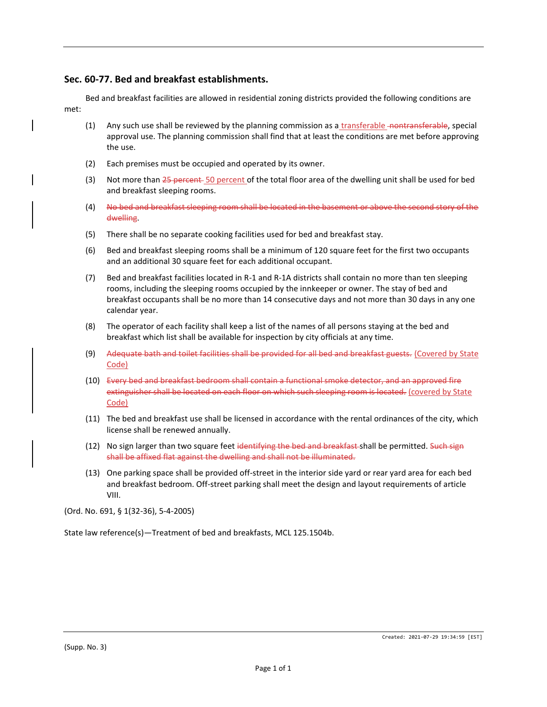#### <span id="page-3-0"></span>**Sec. 60-77. Bed and breakfast establishments.**

Bed and breakfast facilities are allowed in residential zoning districts provided the following conditions are met:

- (1) Any such use shall be reviewed by the planning commission as a transferable nontransferable, special approval use. The planning commission shall find that at least the conditions are met before approving the use.
- (2) Each premises must be occupied and operated by its owner.
- (3) Not more than 25 percent 50 percent of the total floor area of the dwelling unit shall be used for bed and breakfast sleeping rooms.
- (4) No bed and breakfast sleeping room shall be located in the basement or above the second story of the dwelling.
- (5) There shall be no separate cooking facilities used for bed and breakfast stay.
- (6) Bed and breakfast sleeping rooms shall be a minimum of 120 square feet for the first two occupants and an additional 30 square feet for each additional occupant.
- (7) Bed and breakfast facilities located in R-1 and R-1A districts shall contain no more than ten sleeping rooms, including the sleeping rooms occupied by the innkeeper or owner. The stay of bed and breakfast occupants shall be no more than 14 consecutive days and not more than 30 days in any one calendar year.
- (8) The operator of each facility shall keep a list of the names of all persons staying at the bed and breakfast which list shall be available for inspection by city officials at any time.
- (9) Adequate bath and toilet facilities shall be provided for all bed and breakfast guests. (Covered by State Code)
- (10) Every bed and breakfast bedroom shall contain a functional smoke detector, and an approved fire extinguisher shall be located on each floor on which such sleeping room is located. (covered by State Code)
- (11) The bed and breakfast use shall be licensed in accordance with the rental ordinances of the city, which license shall be renewed annually.
- (12) No sign larger than two square feet identifying the bed and breakfast-shall be permitted. Such sign shall be affixed flat against the dwelling and shall not be illuminated.
- (13) One parking space shall be provided off-street in the interior side yard or rear yard area for each bed and breakfast bedroom. Off-street parking shall meet the design and layout requirements of article VIII.

(Ord. No. 691, § 1(32-36), 5-4-2005)

State law reference(s)—Treatment of bed and breakfasts, MCL 125.1504b.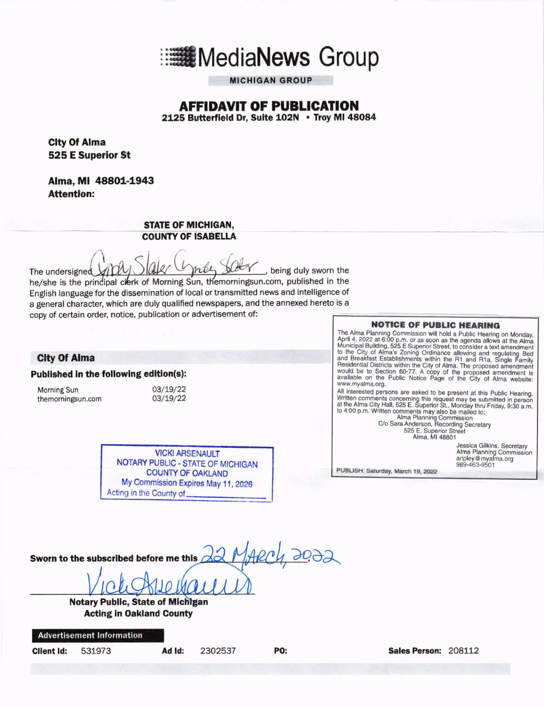

**MICHIGAN GROUP** 

# **AFFIDAVIT OF PUBLICATION**

2125 Butterfield Dr. Suite 102N . Troy MI 48084

Clty Of Alma 525 E Superlor St

Alma, MI 48801-1943 Attention:

#### STATE OF MICHIGAN, COUNTY OF ISABELLA

 $\int$ The undersigned  $X[1]$   $W$   $W$   $W$   $W$   $W$   $W$   $W$ , being duly sworn the he/she is the prindipal clerk of Morning Sun, themorningsun.com, published in the English language for the dissemination of local or transmitted news and intelligence of a general character, which are duly qualified newspapers, and the annexed hereto is a copy of certain order, notice, publication or advertisement of:

#### **City Of Alma**

Published in the following edition(s):

Morning Sun 19/22<br>
themorningsun.com 103/19/22 themorningsun.com

Acting in the County of VICKI ARSENAULT NOTARY PUBLIC . STATE OF MICHIGAN COUNTY OF OAKLAND My Commission Expires May 11, 2026

**NOTICE OF PUBLIC HEARING** 

The Alma Planning Commission will hold a Public Hearing on Monday, April 4, 2022 at 6:00 p.m. or as soon as the agenda allows at the Alma Municipal Building, 525 E Superior Street, to consider a text amendment to the City

All interested persons are asked to be present at this Public Hearing. Written comments concerning this request may be submitted in persor<br>at the Alma City Hall, 525 E. Superior St., Monday thru Friday, 9:30 a.m.<br>to 4:00 p.m. Written

to 4:00 p.m. Written comments may also be mailed to:<br>Alma Planning Commission<br>C/o Sara Anderson, Recording Secretary 525 E. Superior Street<br>Alma, MI 48801

> Jessica Gilkins, Secretary<br>Alma Planning Commissioı<br>aripley@myalma.org 989-463-9501

PUBLISH: Saturday, March 19, 2022

Sworn to the subscrlbed before me thls aa-.

Notary Public, State of Michigan **Acting in Oakland County** 

Advertisement lnformation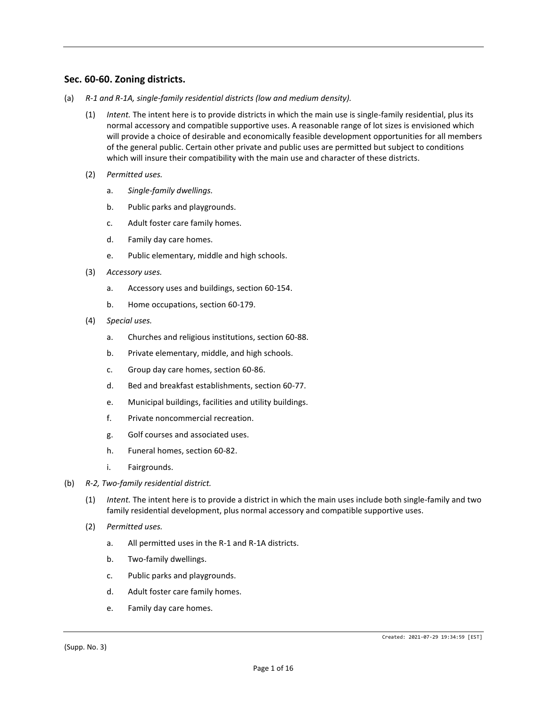#### **Sec. 60-60. Zoning districts.**

- (a) *R-1 and R-1A, single-family residential districts (low and medium density).*
	- (1) *Intent.* The intent here is to provide districts in which the main use is single-family residential, plus its normal accessory and compatible supportive uses. A reasonable range of lot sizes is envisioned which will provide a choice of desirable and economically feasible development opportunities for all members of the general public. Certain other private and public uses are permitted but subject to conditions which will insure their compatibility with the main use and character of these districts.
	- (2) *Permitted uses.*
		- a. *Single-family dwellings.*
		- b. Public parks and playgrounds.
		- c. Adult foster care family homes.
		- d. Family day care homes.
		- e. Public elementary, middle and high schools.
	- (3) *Accessory uses.*
		- a. Accessory uses and buildings, section 60-154.
		- b. Home occupations, section 60-179.
	- (4) *Special uses.*
		- a. Churches and religious institutions, section 60-88.
		- b. Private elementary, middle, and high schools.
		- c. Group day care homes, section 60-86.
		- d. Bed and breakfast establishments, section 60-77.
		- e. Municipal buildings, facilities and utility buildings.
		- f. Private noncommercial recreation.
		- g. Golf courses and associated uses.
		- h. Funeral homes, section 60-82.
		- i. Fairgrounds.
- (b) *R-2, Two-family residential district.*
	- (1) *Intent.* The intent here is to provide a district in which the main uses include both single-family and two family residential development, plus normal accessory and compatible supportive uses.
	- (2) *Permitted uses.*
		- a. All permitted uses in the R-1 and R-1A districts.
		- b. Two-family dwellings.
		- c. Public parks and playgrounds.
		- d. Adult foster care family homes.
		- e. Family day care homes.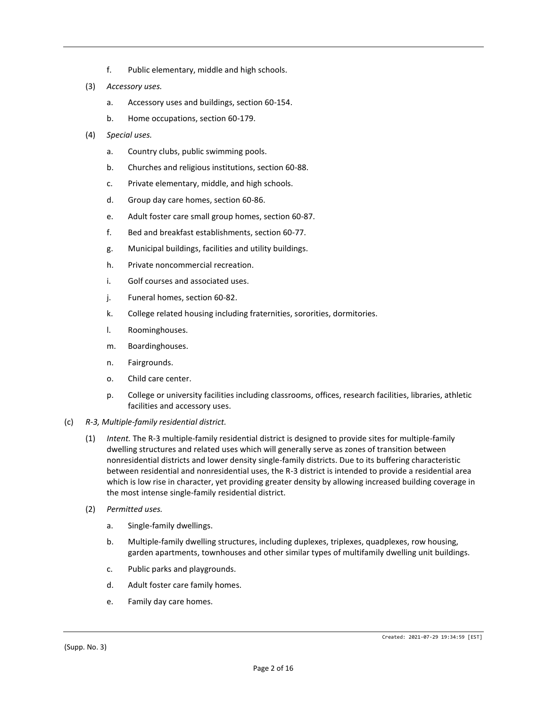- f. Public elementary, middle and high schools.
- (3) *Accessory uses.*
	- a. Accessory uses and buildings, section 60-154.
	- b. Home occupations, section 60-179.
- (4) *Special uses.*
	- a. Country clubs, public swimming pools.
	- b. Churches and religious institutions, section 60-88.
	- c. Private elementary, middle, and high schools.
	- d. Group day care homes, section 60-86.
	- e. Adult foster care small group homes, section 60-87.
	- f. Bed and breakfast establishments, section 60-77.
	- g. Municipal buildings, facilities and utility buildings.
	- h. Private noncommercial recreation.
	- i. Golf courses and associated uses.
	- j. Funeral homes, section 60-82.
	- k. College related housing including fraternities, sororities, dormitories.
	- l. Roominghouses.
	- m. Boardinghouses.
	- n. Fairgrounds.
	- o. Child care center.
	- p. College or university facilities including classrooms, offices, research facilities, libraries, athletic facilities and accessory uses.
- (c) *R-3, Multiple-family residential district.*
	- (1) *Intent.* The R-3 multiple-family residential district is designed to provide sites for multiple-family dwelling structures and related uses which will generally serve as zones of transition between nonresidential districts and lower density single-family districts. Due to its buffering characteristic between residential and nonresidential uses, the R-3 district is intended to provide a residential area which is low rise in character, yet providing greater density by allowing increased building coverage in the most intense single-family residential district.
	- (2) *Permitted uses.*
		- a. Single-family dwellings.
		- b. Multiple-family dwelling structures, including duplexes, triplexes, quadplexes, row housing, garden apartments, townhouses and other similar types of multifamily dwelling unit buildings.
		- c. Public parks and playgrounds.
		- d. Adult foster care family homes.
		- e. Family day care homes.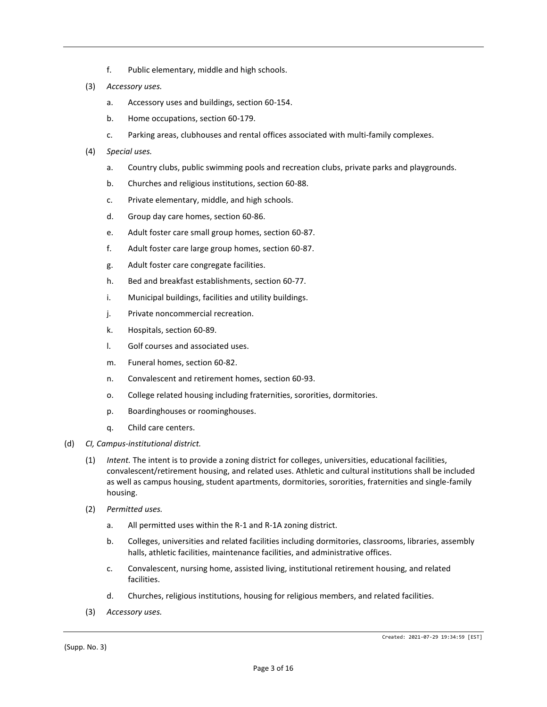- f. Public elementary, middle and high schools.
- (3) *Accessory uses.*
	- a. Accessory uses and buildings, section 60-154.
	- b. Home occupations, section 60-179.
	- c. Parking areas, clubhouses and rental offices associated with multi-family complexes.
- (4) *Special uses.*
	- a. Country clubs, public swimming pools and recreation clubs, private parks and playgrounds.
	- b. Churches and religious institutions, section 60-88.
	- c. Private elementary, middle, and high schools.
	- d. Group day care homes, section 60-86.
	- e. Adult foster care small group homes, section 60-87.
	- f. Adult foster care large group homes, section 60-87.
	- g. Adult foster care congregate facilities.
	- h. Bed and breakfast establishments, section 60-77.
	- i. Municipal buildings, facilities and utility buildings.
	- j. Private noncommercial recreation.
	- k. Hospitals, section 60-89.
	- l. Golf courses and associated uses.
	- m. Funeral homes, section 60-82.
	- n. Convalescent and retirement homes, section 60-93.
	- o. College related housing including fraternities, sororities, dormitories.
	- p. Boardinghouses or roominghouses.
	- q. Child care centers.
- (d) *CI, Campus-institutional district.*
	- (1) *Intent.* The intent is to provide a zoning district for colleges, universities, educational facilities, convalescent/retirement housing, and related uses. Athletic and cultural institutions shall be included as well as campus housing, student apartments, dormitories, sororities, fraternities and single-family housing.
	- (2) *Permitted uses.*
		- a. All permitted uses within the R-1 and R-1A zoning district.
		- b. Colleges, universities and related facilities including dormitories, classrooms, libraries, assembly halls, athletic facilities, maintenance facilities, and administrative offices.
		- c. Convalescent, nursing home, assisted living, institutional retirement housing, and related facilities.
		- d. Churches, religious institutions, housing for religious members, and related facilities.
	- (3) *Accessory uses.*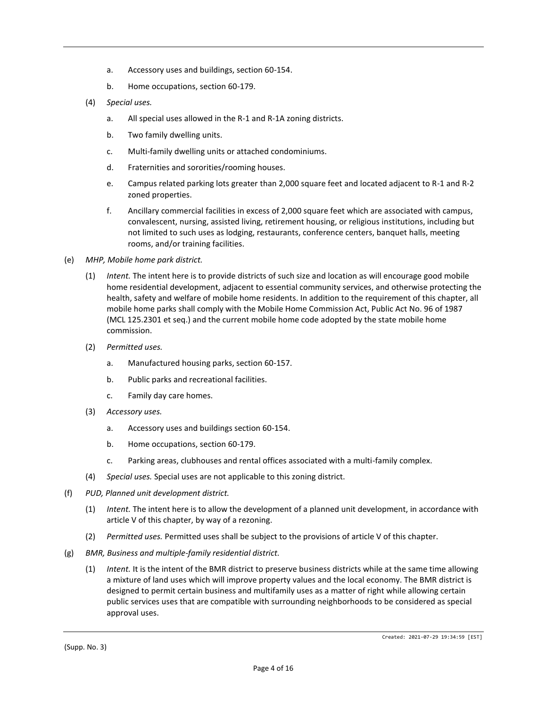- a. Accessory uses and buildings, section 60-154.
- b. Home occupations, section 60-179.
- (4) *Special uses.*
	- a. All special uses allowed in the R-1 and R-1A zoning districts.
	- b. Two family dwelling units.
	- c. Multi-family dwelling units or attached condominiums.
	- d. Fraternities and sororities/rooming houses.
	- e. Campus related parking lots greater than 2,000 square feet and located adjacent to R-1 and R-2 zoned properties.
	- f. Ancillary commercial facilities in excess of 2,000 square feet which are associated with campus, convalescent, nursing, assisted living, retirement housing, or religious institutions, including but not limited to such uses as lodging, restaurants, conference centers, banquet halls, meeting rooms, and/or training facilities.
- (e) *MHP, Mobile home park district.*
	- (1) *Intent.* The intent here is to provide districts of such size and location as will encourage good mobile home residential development, adjacent to essential community services, and otherwise protecting the health, safety and welfare of mobile home residents. In addition to the requirement of this chapter, all mobile home parks shall comply with the Mobile Home Commission Act, Public Act No. 96 of 1987 (MCL 125.2301 et seq.) and the current mobile home code adopted by the state mobile home commission.
	- (2) *Permitted uses.*
		- a. Manufactured housing parks, section 60-157.
		- b. Public parks and recreational facilities.
		- c. Family day care homes.
	- (3) *Accessory uses.*
		- a. Accessory uses and buildings section 60-154.
		- b. Home occupations, section 60-179.
		- c. Parking areas, clubhouses and rental offices associated with a multi-family complex.
	- (4) *Special uses.* Special uses are not applicable to this zoning district.
- (f) *PUD, Planned unit development district.*
	- (1) *Intent.* The intent here is to allow the development of a planned unit development, in accordance with article V of this chapter, by way of a rezoning.
	- (2) *Permitted uses.* Permitted uses shall be subject to the provisions of article V of this chapter.
- (g) *BMR, Business and multiple-family residential district.*
	- (1) *Intent.* It is the intent of the BMR district to preserve business districts while at the same time allowing a mixture of land uses which will improve property values and the local economy. The BMR district is designed to permit certain business and multifamily uses as a matter of right while allowing certain public services uses that are compatible with surrounding neighborhoods to be considered as special approval uses.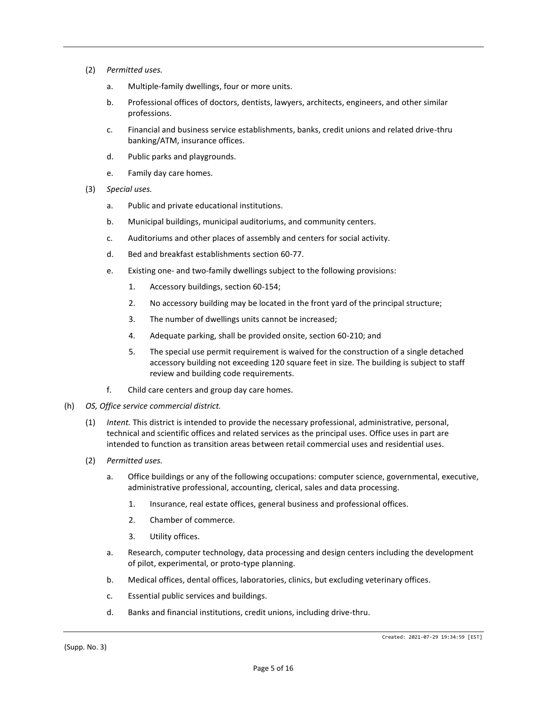- (2) *Permitted uses.*
	- a. Multiple-family dwellings, four or more units.
	- b. Professional offices of doctors, dentists, lawyers, architects, engineers, and other similar professions.
	- c. Financial and business service establishments, banks, credit unions and related drive-thru banking/ATM, insurance offices.
	- d. Public parks and playgrounds.
	- e. Family day care homes.
- (3) *Special uses.*
	- a. Public and private educational institutions.
	- b. Municipal buildings, municipal auditoriums, and community centers.
	- c. Auditoriums and other places of assembly and centers for social activity.
	- d. Bed and breakfast establishments section 60-77.
	- e. Existing one- and two-family dwellings subject to the following provisions:
		- 1. Accessory buildings, section 60-154;
		- 2. No accessory building may be located in the front yard of the principal structure;
		- 3. The number of dwellings units cannot be increased;
		- 4. Adequate parking, shall be provided onsite, section 60-210; and
		- 5. The special use permit requirement is waived for the construction of a single detached accessory building not exceeding 120 square feet in size. The building is subject to staff review and building code requirements.
	- f. Child care centers and group day care homes.
- (h) *OS, Office service commercial district.*
	- (1) *Intent.* This district is intended to provide the necessary professional, administrative, personal, technical and scientific offices and related services as the principal uses. Office uses in part are intended to function as transition areas between retail commercial uses and residential uses.
	- (2) *Permitted uses.*
		- a. Office buildings or any of the following occupations: computer science, governmental, executive, administrative professional, accounting, clerical, sales and data processing.
			- 1. Insurance, real estate offices, general business and professional offices.
			- 2. Chamber of commerce.
			- 3. Utility offices.
		- a. Research, computer technology, data processing and design centers including the development of pilot, experimental, or proto-type planning.
		- b. Medical offices, dental offices, laboratories, clinics, but excluding veterinary offices.
		- c. Essential public services and buildings.
		- d. Banks and financial institutions, credit unions, including drive-thru.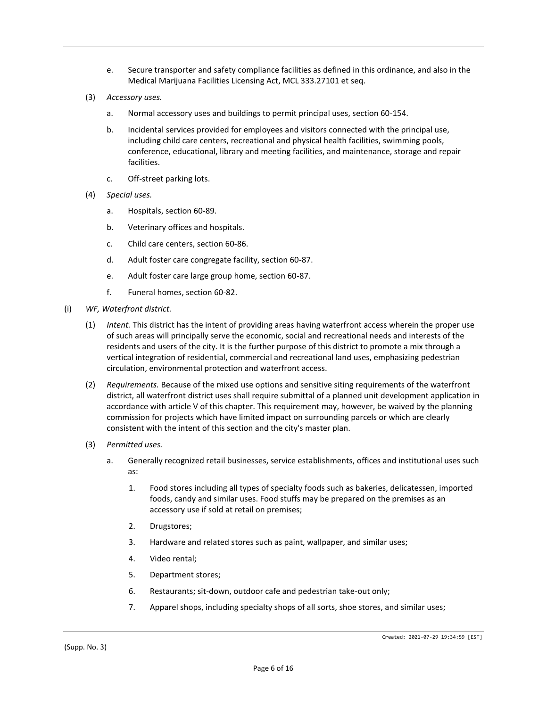- e. Secure transporter and safety compliance facilities as defined in this ordinance, and also in the Medical Marijuana Facilities Licensing Act, MCL 333.27101 et seq.
- (3) *Accessory uses.*
	- a. Normal accessory uses and buildings to permit principal uses, section 60-154.
	- b. Incidental services provided for employees and visitors connected with the principal use, including child care centers, recreational and physical health facilities, swimming pools, conference, educational, library and meeting facilities, and maintenance, storage and repair facilities.
	- c. Off-street parking lots.
- (4) *Special uses.*
	- a. Hospitals, section 60-89.
	- b. Veterinary offices and hospitals.
	- c. Child care centers, section 60-86.
	- d. Adult foster care congregate facility, section 60-87.
	- e. Adult foster care large group home, section 60-87.
	- f. Funeral homes, section 60-82.
- (i) *WF, Waterfront district.*
	- (1) *Intent.* This district has the intent of providing areas having waterfront access wherein the proper use of such areas will principally serve the economic, social and recreational needs and interests of the residents and users of the city. It is the further purpose of this district to promote a mix through a vertical integration of residential, commercial and recreational land uses, emphasizing pedestrian circulation, environmental protection and waterfront access.
	- (2) *Requirements.* Because of the mixed use options and sensitive siting requirements of the waterfront district, all waterfront district uses shall require submittal of a planned unit development application in accordance with article V of this chapter. This requirement may, however, be waived by the planning commission for projects which have limited impact on surrounding parcels or which are clearly consistent with the intent of this section and the city's master plan.
	- (3) *Permitted uses.*
		- a. Generally recognized retail businesses, service establishments, offices and institutional uses such as:
			- 1. Food stores including all types of specialty foods such as bakeries, delicatessen, imported foods, candy and similar uses. Food stuffs may be prepared on the premises as an accessory use if sold at retail on premises;
			- 2. Drugstores;
			- 3. Hardware and related stores such as paint, wallpaper, and similar uses;
			- 4. Video rental;
			- 5. Department stores;
			- 6. Restaurants; sit-down, outdoor cafe and pedestrian take-out only;
			- 7. Apparel shops, including specialty shops of all sorts, shoe stores, and similar uses;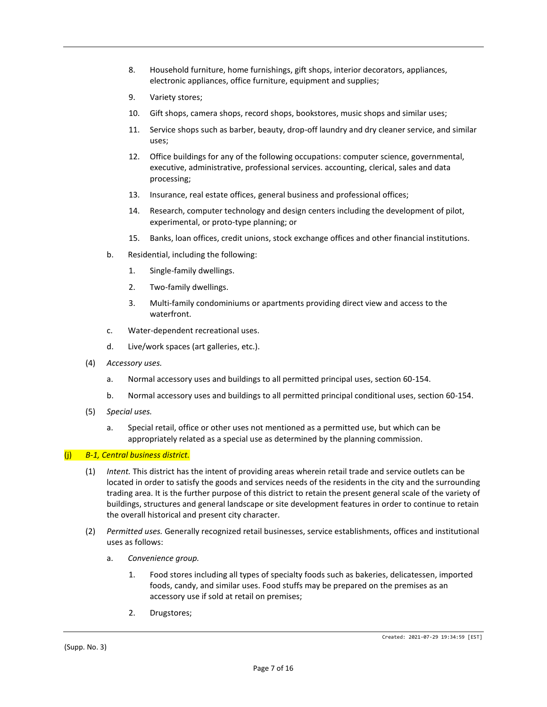- <span id="page-11-0"></span>8. Household furniture, home furnishings, gift shops, interior decorators, appliances, electronic appliances, office furniture, equipment and supplies;
- 9. Variety stores;
- 10. Gift shops, camera shops, record shops, bookstores, music shops and similar uses;
- 11. Service shops such as barber, beauty, drop-off laundry and dry cleaner service, and similar uses;
- 12. Office buildings for any of the following occupations: computer science, governmental, executive, administrative, professional services. accounting, clerical, sales and data processing;
- 13. Insurance, real estate offices, general business and professional offices;
- 14. Research, computer technology and design centers including the development of pilot, experimental, or proto-type planning; or
- 15. Banks, loan offices, credit unions, stock exchange offices and other financial institutions.
- b. Residential, including the following:
	- 1. Single-family dwellings.
	- 2. Two-family dwellings.
	- 3. Multi-family condominiums or apartments providing direct view and access to the waterfront.
- c. Water-dependent recreational uses.
- d. Live/work spaces (art galleries, etc.).
- (4) *Accessory uses.*
	- a. Normal accessory uses and buildings to all permitted principal uses, section 60-154.
	- b. Normal accessory uses and buildings to all permitted principal conditional uses, section 60-154.
- (5) *Special uses.*
	- a. Special retail, office or other uses not mentioned as a permitted use, but which can be appropriately related as a special use as determined by the planning commission.

#### (j) *B-1, Central business district.*

- (1) *Intent.* This district has the intent of providing areas wherein retail trade and service outlets can be located in order to satisfy the goods and services needs of the residents in the city and the surrounding trading area. It is the further purpose of this district to retain the present general scale of the variety of buildings, structures and general landscape or site development features in order to continue to retain the overall historical and present city character.
- (2) *Permitted uses.* Generally recognized retail businesses, service establishments, offices and institutional uses as follows:
	- a. *Convenience group.*
		- 1. Food stores including all types of specialty foods such as bakeries, delicatessen, imported foods, candy, and similar uses. Food stuffs may be prepared on the premises as an accessory use if sold at retail on premises;
		- 2. Drugstores;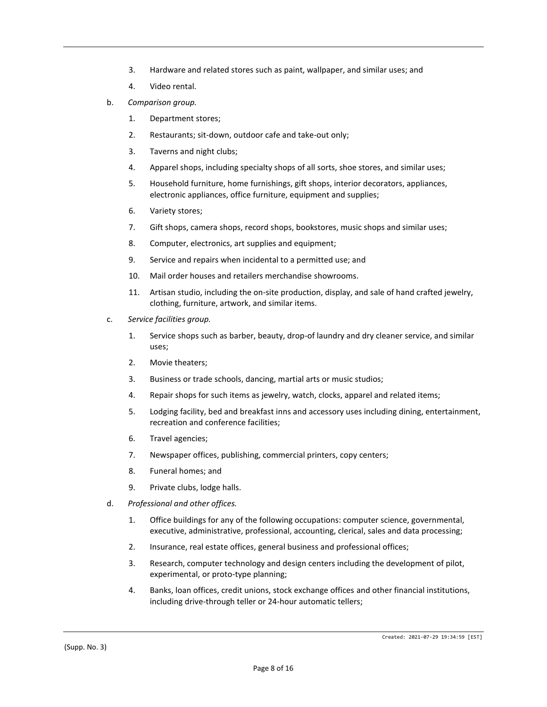- 3. Hardware and related stores such as paint, wallpaper, and similar uses; and
- 4. Video rental.
- b. *Comparison group.*
	- 1. Department stores;
	- 2. Restaurants; sit-down, outdoor cafe and take-out only;
	- 3. Taverns and night clubs;
	- 4. Apparel shops, including specialty shops of all sorts, shoe stores, and similar uses;
	- 5. Household furniture, home furnishings, gift shops, interior decorators, appliances, electronic appliances, office furniture, equipment and supplies;
	- 6. Variety stores;
	- 7. Gift shops, camera shops, record shops, bookstores, music shops and similar uses;
	- 8. Computer, electronics, art supplies and equipment;
	- 9. Service and repairs when incidental to a permitted use; and
	- 10. Mail order houses and retailers merchandise showrooms.
	- 11. Artisan studio, including the on-site production, display, and sale of hand crafted jewelry, clothing, furniture, artwork, and similar items.
- c. *Service facilities group.*
	- 1. Service shops such as barber, beauty, drop-of laundry and dry cleaner service, and similar uses;
	- 2. Movie theaters;
	- 3. Business or trade schools, dancing, martial arts or music studios;
	- 4. Repair shops for such items as jewelry, watch, clocks, apparel and related items;
	- 5. Lodging facility, bed and breakfast inns and accessory uses including dining, entertainment, recreation and conference facilities;
	- 6. Travel agencies;
	- 7. Newspaper offices, publishing, commercial printers, copy centers;
	- 8. Funeral homes; and
	- 9. Private clubs, lodge halls.
- d. *Professional and other offices.*
	- 1. Office buildings for any of the following occupations: computer science, governmental, executive, administrative, professional, accounting, clerical, sales and data processing;
	- 2. Insurance, real estate offices, general business and professional offices;
	- 3. Research, computer technology and design centers including the development of pilot, experimental, or proto-type planning;
	- 4. Banks, loan offices, credit unions, stock exchange offices and other financial institutions, including drive-through teller or 24-hour automatic tellers;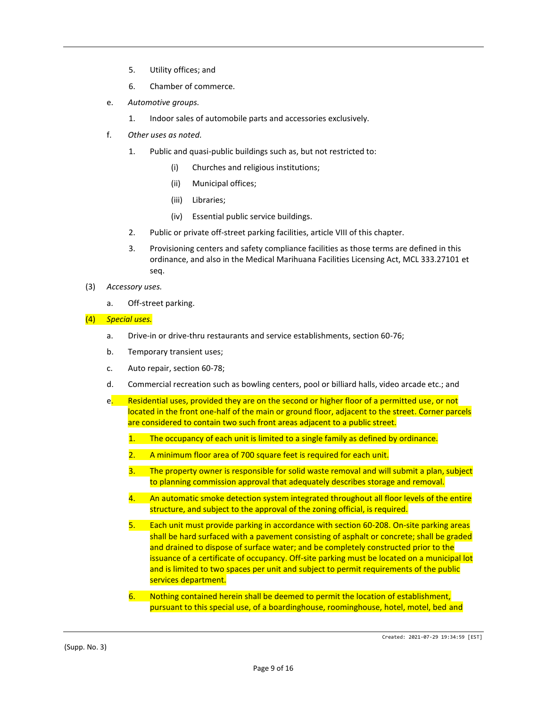- 5. Utility offices; and
- 6. Chamber of commerce.
- e. *Automotive groups.*
	- 1. Indoor sales of automobile parts and accessories exclusively.
- f. *Other uses as noted.*
	- 1. Public and quasi-public buildings such as, but not restricted to:
		- (i) Churches and religious institutions;
		- (ii) Municipal offices;
		- (iii) Libraries;
		- (iv) Essential public service buildings.
	- 2. Public or private off-street parking facilities, article VIII of this chapter.
	- 3. Provisioning centers and safety compliance facilities as those terms are defined in this ordinance, and also in the Medical Marihuana Facilities Licensing Act, MCL 333.27101 et seq.
- (3) *Accessory uses.*
	- a. Off-street parking.

#### (4) *Special uses.*

- a. Drive-in or drive-thru restaurants and service establishments, section 60-76;
- b. Temporary transient uses;
- c. Auto repair, section 60-78;
- d. Commercial recreation such as bowling centers, pool or billiard halls, video arcade etc.; and
- e. Residential uses, provided they are on the second or higher floor of a permitted use, or not located in the front one-half of the main or ground floor, adjacent to the street. Corner parcels are considered to contain two such front areas adjacent to a public street.
	- 1. The occupancy of each unit is limited to a single family as defined by ordinance.
	- 2. A minimum floor area of 700 square feet is required for each unit.
	- 3. The property owner is responsible for solid waste removal and will submit a plan, subject to planning commission approval that adequately describes storage and removal.
	- 4. An automatic smoke detection system integrated throughout all floor levels of the entire structure, and subject to the approval of the zoning official, is required.
	- 5. Each unit must provide parking in accordance with section 60-208. On-site parking areas shall be hard surfaced with a pavement consisting of asphalt or concrete; shall be graded and drained to dispose of surface water; and be completely constructed prior to the issuance of a certificate of occupancy. Off-site parking must be located on a municipal lot and is limited to two spaces per unit and subject to permit requirements of the public services department.
	- 6. Nothing contained herein shall be deemed to permit the location of establishment, pursuant to this special use, of a boardinghouse, roominghouse, hotel, motel, bed and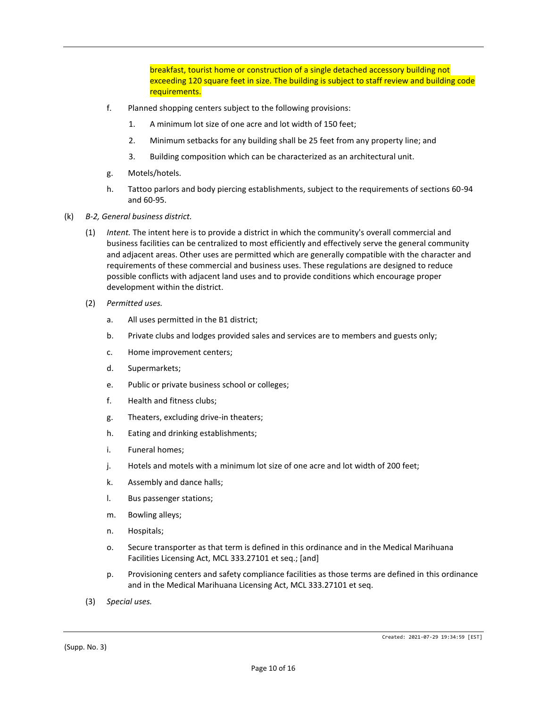breakfast, tourist home or construction of a single detached accessory building not exceeding 120 square feet in size. The building is subject to staff review and building code requirements.

- f. Planned shopping centers subject to the following provisions:
	- 1. A minimum lot size of one acre and lot width of 150 feet;
	- 2. Minimum setbacks for any building shall be 25 feet from any property line; and
	- 3. Building composition which can be characterized as an architectural unit.
- g. Motels/hotels.
- h. Tattoo parlors and body piercing establishments, subject to the requirements of sections 60-94 and 60-95.
- (k) *B-2, General business district.*
	- (1) *Intent.* The intent here is to provide a district in which the community's overall commercial and business facilities can be centralized to most efficiently and effectively serve the general community and adjacent areas. Other uses are permitted which are generally compatible with the character and requirements of these commercial and business uses. These regulations are designed to reduce possible conflicts with adjacent land uses and to provide conditions which encourage proper development within the district.
	- (2) *Permitted uses.*
		- a. All uses permitted in the B1 district;
		- b. Private clubs and lodges provided sales and services are to members and guests only;
		- c. Home improvement centers;
		- d. Supermarkets;
		- e. Public or private business school or colleges;
		- f. Health and fitness clubs;
		- g. Theaters, excluding drive-in theaters;
		- h. Eating and drinking establishments;
		- i. Funeral homes;
		- j. Hotels and motels with a minimum lot size of one acre and lot width of 200 feet;
		- k. Assembly and dance halls;
		- l. Bus passenger stations;
		- m. Bowling alleys;
		- n. Hospitals;
		- o. Secure transporter as that term is defined in this ordinance and in the Medical Marihuana Facilities Licensing Act, MCL 333.27101 et seq.; [and]
		- p. Provisioning centers and safety compliance facilities as those terms are defined in this ordinance and in the Medical Marihuana Licensing Act, MCL 333.27101 et seq.
	- (3) *Special uses.*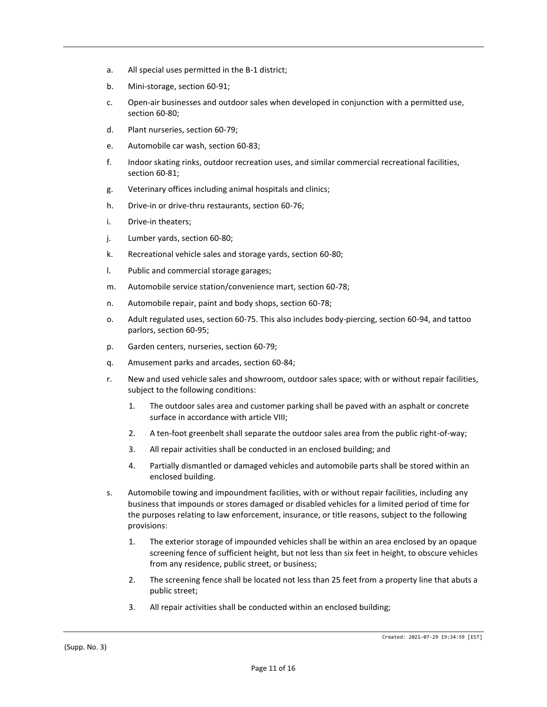- a. All special uses permitted in the B-1 district;
- b. Mini-storage, section 60-91;
- c. Open-air businesses and outdoor sales when developed in conjunction with a permitted use, section 60-80;
- d. Plant nurseries, section 60-79;
- e. Automobile car wash, section 60-83;
- f. Indoor skating rinks, outdoor recreation uses, and similar commercial recreational facilities, section 60-81;
- g. Veterinary offices including animal hospitals and clinics;
- h. Drive-in or drive-thru restaurants, section 60-76;
- i. Drive-in theaters;
- j. Lumber yards, section 60-80;
- k. Recreational vehicle sales and storage yards, section 60-80;
- l. Public and commercial storage garages;
- m. Automobile service station/convenience mart, section 60-78;
- n. Automobile repair, paint and body shops, section 60-78;
- o. Adult regulated uses, section 60-75. This also includes body-piercing, section 60-94, and tattoo parlors, section 60-95;
- p. Garden centers, nurseries, section 60-79;
- q. Amusement parks and arcades, section 60-84;
- r. New and used vehicle sales and showroom, outdoor sales space; with or without repair facilities, subject to the following conditions:
	- 1. The outdoor sales area and customer parking shall be paved with an asphalt or concrete surface in accordance with article VIII;
	- 2. A ten-foot greenbelt shall separate the outdoor sales area from the public right-of-way;
	- 3. All repair activities shall be conducted in an enclosed building; and
	- 4. Partially dismantled or damaged vehicles and automobile parts shall be stored within an enclosed building.
- s. Automobile towing and impoundment facilities, with or without repair facilities, including any business that impounds or stores damaged or disabled vehicles for a limited period of time for the purposes relating to law enforcement, insurance, or title reasons, subject to the following provisions:
	- 1. The exterior storage of impounded vehicles shall be within an area enclosed by an opaque screening fence of sufficient height, but not less than six feet in height, to obscure vehicles from any residence, public street, or business;
	- 2. The screening fence shall be located not less than 25 feet from a property line that abuts a public street;
	- 3. All repair activities shall be conducted within an enclosed building;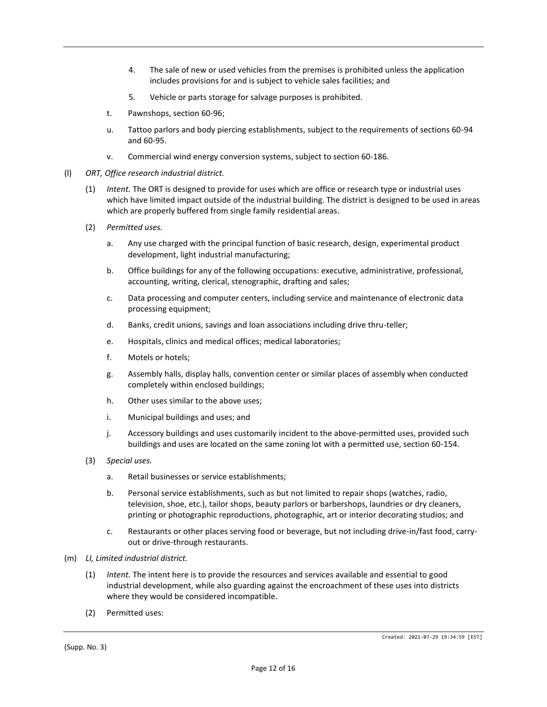- 4. The sale of new or used vehicles from the premises is prohibited unless the application includes provisions for and is subject to vehicle sales facilities; and
- 5. Vehicle or parts storage for salvage purposes is prohibited.
- t. Pawnshops, section 60-96;
- u. Tattoo parlors and body piercing establishments, subject to the requirements of sections 60-94 and 60-95.
- v. Commercial wind energy conversion systems, subject to section 60-186.
- (l) *ORT, Office research industrial district.*
	- (1) *Intent.* The ORT is designed to provide for uses which are office or research type or industrial uses which have limited impact outside of the industrial building. The district is designed to be used in areas which are properly buffered from single family residential areas.
	- (2) *Permitted uses.*
		- a. Any use charged with the principal function of basic research, design, experimental product development, light industrial manufacturing;
		- b. Office buildings for any of the following occupations: executive, administrative, professional, accounting, writing, clerical, stenographic, drafting and sales;
		- c. Data processing and computer centers, including service and maintenance of electronic data processing equipment;
		- d. Banks, credit unions, savings and loan associations including drive thru-teller;
		- e. Hospitals, clinics and medical offices; medical laboratories;
		- f. Motels or hotels;
		- g. Assembly halls, display halls, convention center or similar places of assembly when conducted completely within enclosed buildings;
		- h. Other uses similar to the above uses;
		- i. Municipal buildings and uses; and
		- j. Accessory buildings and uses customarily incident to the above-permitted uses, provided such buildings and uses are located on the same zoning lot with a permitted use, section 60-154.
	- (3) *Special uses.*
		- a. Retail businesses or service establishments;
		- b. Personal service establishments, such as but not limited to repair shops (watches, radio, television, shoe, etc.), tailor shops, beauty parlors or barbershops, laundries or dry cleaners, printing or photographic reproductions, photographic, art or interior decorating studios; and
		- c. Restaurants or other places serving food or beverage, but not including drive-in/fast food, carryout or drive-through restaurants.
- (m) *LI, Limited industrial district.*
	- (1) *Intent.* The intent here is to provide the resources and services available and essential to good industrial development, while also guarding against the encroachment of these uses into districts where they would be considered incompatible.
	- (2) Permitted uses: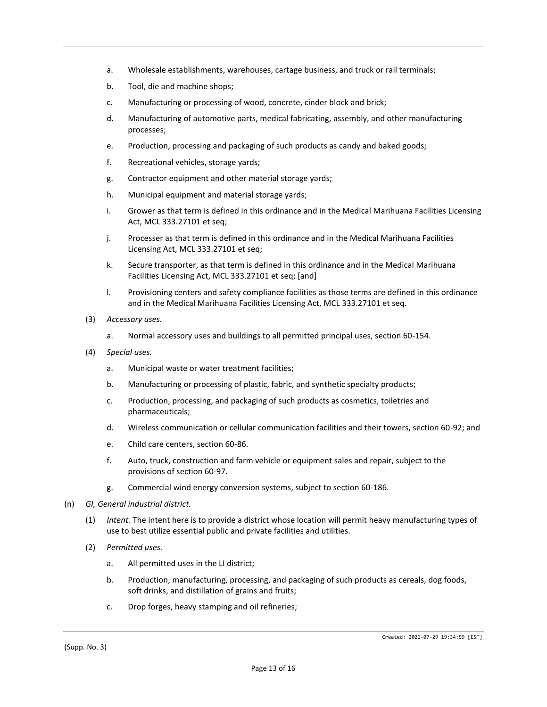- a. Wholesale establishments, warehouses, cartage business, and truck or rail terminals;
- b. Tool, die and machine shops;
- c. Manufacturing or processing of wood, concrete, cinder block and brick;
- d. Manufacturing of automotive parts, medical fabricating, assembly, and other manufacturing processes;
- e. Production, processing and packaging of such products as candy and baked goods;
- f. Recreational vehicles, storage yards;
- g. Contractor equipment and other material storage yards;
- h. Municipal equipment and material storage yards;
- i. Grower as that term is defined in this ordinance and in the Medical Marihuana Facilities Licensing Act, MCL 333.27101 et seq;
- j. Processer as that term is defined in this ordinance and in the Medical Marihuana Facilities Licensing Act, MCL 333.27101 et seq;
- k. Secure transporter, as that term is defined in this ordinance and in the Medical Marihuana Facilities Licensing Act, MCL 333.27101 et seq; [and]
- l. Provisioning centers and safety compliance facilities as those terms are defined in this ordinance and in the Medical Marihuana Facilities Licensing Act, MCL 333.27101 et seq.
- (3) *Accessory uses.*
	- a. Normal accessory uses and buildings to all permitted principal uses, section 60-154.
- (4) *Special uses.*
	- a. Municipal waste or water treatment facilities;
	- b. Manufacturing or processing of plastic, fabric, and synthetic specialty products;
	- c. Production, processing, and packaging of such products as cosmetics, toiletries and pharmaceuticals;
	- d. Wireless communication or cellular communication facilities and their towers, section 60-92; and
	- e. Child care centers, section 60-86.
	- f. Auto, truck, construction and farm vehicle or equipment sales and repair, subject to the provisions of section 60-97.
	- g. Commercial wind energy conversion systems, subject to section 60-186.
- (n) *GI, General industrial district.*
	- (1) *Intent.* The intent here is to provide a district whose location will permit heavy manufacturing types of use to best utilize essential public and private facilities and utilities.
	- (2) *Permitted uses.*
		- a. All permitted uses in the LI district;
		- b. Production, manufacturing, processing, and packaging of such products as cereals, dog foods, soft drinks, and distillation of grains and fruits;
		- c. Drop forges, heavy stamping and oil refineries;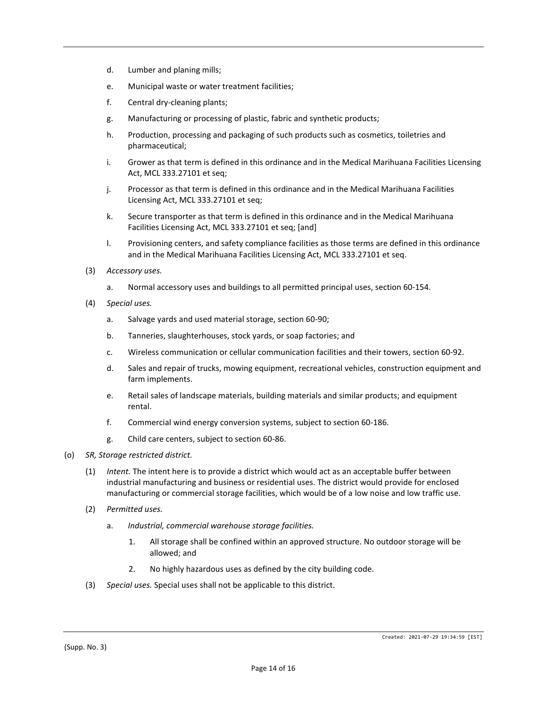- d. Lumber and planing mills;
- e. Municipal waste or water treatment facilities;
- f. Central dry-cleaning plants;
- g. Manufacturing or processing of plastic, fabric and synthetic products;
- h. Production, processing and packaging of such products such as cosmetics, toiletries and pharmaceutical;
- i. Grower as that term is defined in this ordinance and in the Medical Marihuana Facilities Licensing Act, MCL 333.27101 et seq;
- j. Processor as that term is defined in this ordinance and in the Medical Marihuana Facilities Licensing Act, MCL 333.27101 et seq;
- k. Secure transporter as that term is defined in this ordinance and in the Medical Marihuana Facilities Licensing Act, MCL 333.27101 et seq; [and]
- l. Provisioning centers, and safety compliance facilities as those terms are defined in this ordinance and in the Medical Marihuana Facilities Licensing Act, MCL 333.27101 et seq.
- (3) *Accessory uses.*
	- a. Normal accessory uses and buildings to all permitted principal uses, section 60-154.
- (4) *Special uses.*
	- a. Salvage yards and used material storage, section 60-90;
	- b. Tanneries, slaughterhouses, stock yards, or soap factories; and
	- c. Wireless communication or cellular communication facilities and their towers, section 60-92.
	- d. Sales and repair of trucks, mowing equipment, recreational vehicles, construction equipment and farm implements.
	- e. Retail sales of landscape materials, building materials and similar products; and equipment rental.
	- f. Commercial wind energy conversion systems, subject to section 60-186.
	- g. Child care centers, subject to section 60-86.
- (o) *SR, Storage restricted district.*
	- (1) *Intent.* The intent here is to provide a district which would act as an acceptable buffer between industrial manufacturing and business or residential uses. The district would provide for enclosed manufacturing or commercial storage facilities, which would be of a low noise and low traffic use.
	- (2) *Permitted uses.*
		- a. *Industrial, commercial warehouse storage facilities.*
			- 1. All storage shall be confined within an approved structure. No outdoor storage will be allowed; and
			- 2. No highly hazardous uses as defined by the city building code.
	- (3) *Special uses.* Special uses shall not be applicable to this district.